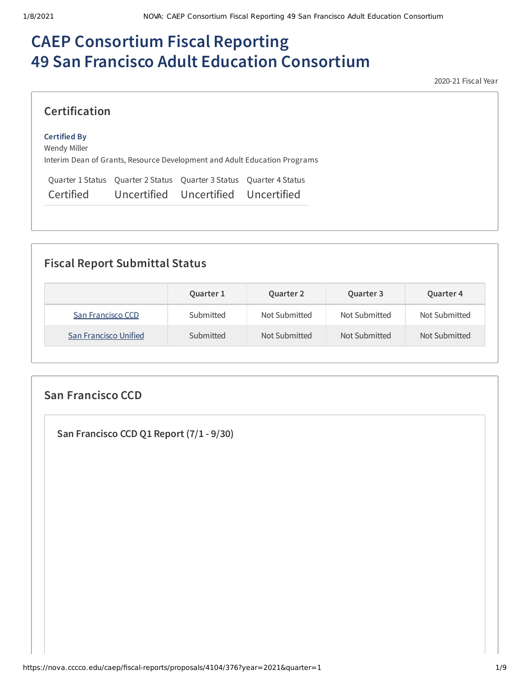# **CAEP Consortium Fiscal Reporting 49 San Francisco Adult Education Consortium**

2020-21 Fiscal Year

#### **Certification**

#### **Certified By**

Wendy Miller Interim Dean of Grants, Resource Development and Adult Education Programs

Quarter 1 Status Quarter 2 Status Quarter 3 Status Quarter 4 Status Certified Uncertified Uncertified Uncertified

#### **Fiscal Report Submittal Status**

|                       | Quarter 1 | <b>Quarter 2</b> | Quarter 3     | Quarter 4     |
|-----------------------|-----------|------------------|---------------|---------------|
| San Francisco CCD     | Submitted | Not Submitted    | Not Submitted | Not Submitted |
| San Francisco Unified | Submitted | Not Submitted    | Not Submitted | Not Submitted |

# **San Francisco CCD San Francisco CCD Q1 Report (7/1 - 9/30)**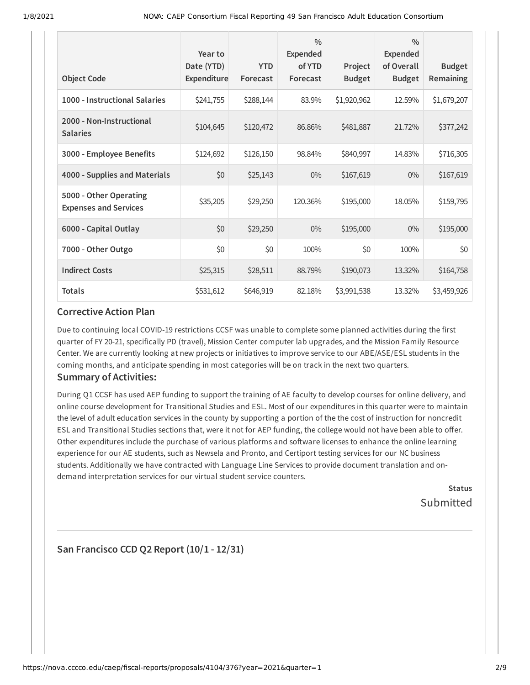| <b>Object Code</b>                                     | Year to<br>Date (YTD)<br>Expenditure | <b>YTD</b><br>Forecast | $\frac{0}{0}$<br>Expended<br>of YTD<br>Forecast | Project<br><b>Budget</b> | $\frac{0}{0}$<br>Expended<br>of Overall<br><b>Budget</b> | <b>Budget</b><br>Remaining |
|--------------------------------------------------------|--------------------------------------|------------------------|-------------------------------------------------|--------------------------|----------------------------------------------------------|----------------------------|
| 1000 - Instructional Salaries                          | \$241,755                            | \$288,144              | 83.9%                                           | \$1,920,962              | 12.59%                                                   | \$1,679,207                |
| 2000 - Non-Instructional<br><b>Salaries</b>            | \$104,645                            | \$120,472              | 86.86%                                          | \$481,887                | 21.72%                                                   | \$377,242                  |
| 3000 - Employee Benefits                               | \$124,692                            | \$126,150              | 98.84%                                          | \$840,997                | 14.83%                                                   | \$716,305                  |
| 4000 - Supplies and Materials                          | \$0                                  | \$25,143               | $0\%$                                           | \$167,619                | $0\%$                                                    | \$167,619                  |
| 5000 - Other Operating<br><b>Expenses and Services</b> | \$35,205                             | \$29,250               | 120.36%                                         | \$195,000                | 18.05%                                                   | \$159,795                  |
| 6000 - Capital Outlay                                  | \$0                                  | \$29,250               | $0\%$                                           | \$195,000                | $0\%$                                                    | \$195,000                  |
| 7000 - Other Outgo                                     | \$0                                  | \$0                    | 100%                                            | \$0                      | 100%                                                     | \$0                        |
| <b>Indirect Costs</b>                                  | \$25,315                             | \$28,511               | 88.79%                                          | \$190,073                | 13.32%                                                   | \$164,758                  |
| <b>Totals</b>                                          | \$531,612                            | \$646,919              | 82.18%                                          | \$3,991,538              | 13.32%                                                   | \$3,459,926                |

#### **Corrective Action Plan**

Due to continuing local COVID-19 restrictions CCSF was unable to complete some planned activities during the first quarter of FY 20-21, specifically PD (travel), Mission Center computer lab upgrades, and the Mission Family Resource Center. We are currently looking at new projects or initiatives to improve service to our ABE/ASE/ESL students in the coming months, and anticipate spending in most categories will be on track in the next two quarters.

#### **Summary of Activities:**

During Q1 CCSF has used AEP funding to support the training of AE faculty to develop courses for online delivery, and online course development for Transitional Studies and ESL. Most of our expenditures in this quarter were to maintain the level of adult education services in the county by supporting a portion of the the cost of instruction for noncredit ESL and Transitional Studies sections that, were it not for AEP funding, the college would not have been able to offer. Other expenditures include the purchase of various platforms and software licenses to enhance the online learning experience for our AE students, such as Newsela and Pronto, and Certiport testing services for our NC business students. Additionally we have contracted with Language Line Services to provide document translation and ondemand interpretation services for our virtual student service counters.

> **Status** Submitted

#### **San Francisco CCD Q2 Report (10/1 - 12/31)**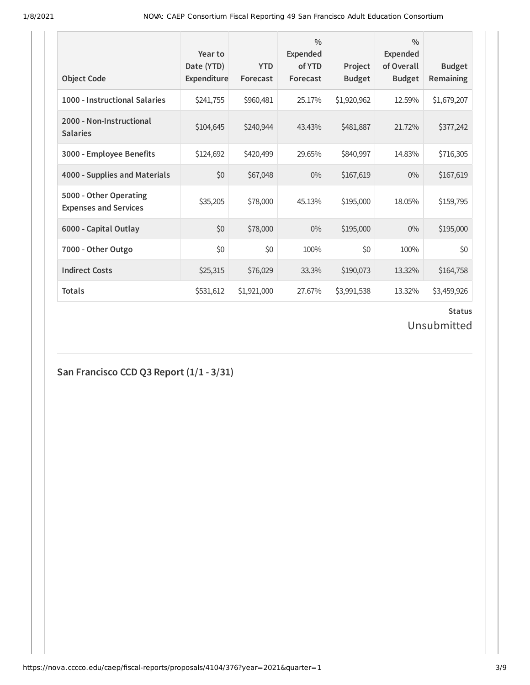| <b>Object Code</b>                                     | Year to<br>Date (YTD)<br>Expenditure | <b>YTD</b><br>Forecast | $\frac{0}{0}$<br>Expended<br>of YTD<br>Forecast | Project<br><b>Budget</b> | $\frac{0}{0}$<br>Expended<br>of Overall<br><b>Budget</b> | <b>Budget</b><br>Remaining |
|--------------------------------------------------------|--------------------------------------|------------------------|-------------------------------------------------|--------------------------|----------------------------------------------------------|----------------------------|
| 1000 - Instructional Salaries                          | \$241,755                            | \$960,481              | 25.17%                                          | \$1,920,962              | 12.59%                                                   | \$1,679,207                |
| 2000 - Non-Instructional<br><b>Salaries</b>            | \$104,645                            | \$240,944              | 43.43%                                          | \$481,887                | 21.72%                                                   | \$377,242                  |
| 3000 - Employee Benefits                               | \$124,692                            | \$420,499              | 29.65%                                          | \$840,997                | 14.83%                                                   | \$716,305                  |
| 4000 - Supplies and Materials                          | \$0                                  | \$67,048               | $0\%$                                           | \$167,619                | $0\%$                                                    | \$167,619                  |
| 5000 - Other Operating<br><b>Expenses and Services</b> | \$35,205                             | \$78,000               | 45.13%                                          | \$195,000                | 18.05%                                                   | \$159,795                  |
| 6000 - Capital Outlay                                  | \$0                                  | \$78,000               | $0\%$                                           | \$195,000                | $0\%$                                                    | \$195,000                  |
| 7000 - Other Outgo                                     | \$0                                  | \$0                    | 100%                                            | \$0                      | 100%                                                     | \$0                        |
| <b>Indirect Costs</b>                                  | \$25,315                             | \$76,029               | 33.3%                                           | \$190,073                | 13.32%                                                   | \$164,758                  |
| <b>Totals</b>                                          | \$531,612                            | \$1,921,000            | 27.67%                                          | \$3,991,538              | 13.32%                                                   | \$3,459,926                |

Unsubmitted

**San Francisco CCD Q3 Report (1/1 - 3/31)**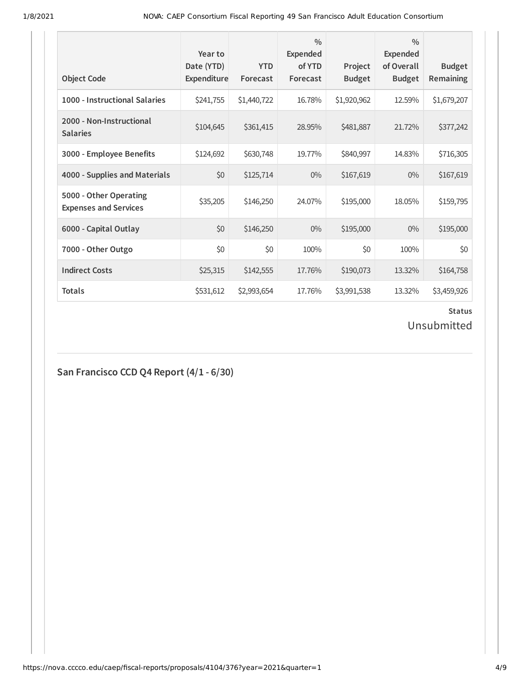| <b>Object Code</b>                                     | Year to<br>Date (YTD)<br>Expenditure | <b>YTD</b><br>Forecast | $\frac{0}{0}$<br><b>Expended</b><br>of YTD<br>Forecast | Project<br><b>Budget</b> | $\frac{0}{0}$<br><b>Expended</b><br>of Overall<br><b>Budget</b> | <b>Budget</b><br>Remaining |
|--------------------------------------------------------|--------------------------------------|------------------------|--------------------------------------------------------|--------------------------|-----------------------------------------------------------------|----------------------------|
| 1000 - Instructional Salaries                          | \$241,755                            | \$1,440,722            | 16.78%                                                 | \$1,920,962              | 12.59%                                                          | \$1,679,207                |
| 2000 - Non-Instructional<br><b>Salaries</b>            | \$104,645                            | \$361,415              | 28.95%                                                 | \$481,887                | 21.72%                                                          | \$377,242                  |
| 3000 - Employee Benefits                               | \$124,692                            | \$630,748              | 19.77%                                                 | \$840,997                | 14.83%                                                          | \$716,305                  |
| 4000 - Supplies and Materials                          | \$0                                  | \$125,714              | $0\%$                                                  | \$167,619                | $0\%$                                                           | \$167,619                  |
| 5000 - Other Operating<br><b>Expenses and Services</b> | \$35,205                             | \$146,250              | 24.07%                                                 | \$195,000                | 18.05%                                                          | \$159,795                  |
| 6000 - Capital Outlay                                  | \$0                                  | \$146,250              | 0%                                                     | \$195,000                | $0\%$                                                           | \$195,000                  |
| 7000 - Other Outgo                                     | \$0                                  | \$0                    | 100%                                                   | \$0                      | 100%                                                            | \$0                        |
| <b>Indirect Costs</b>                                  | \$25,315                             | \$142,555              | 17.76%                                                 | \$190,073                | 13.32%                                                          | \$164,758                  |
| <b>Totals</b>                                          | \$531,612                            | \$2,993,654            | 17.76%                                                 | \$3,991,538              | 13.32%                                                          | \$3,459,926                |

Unsubmitted

# **San Francisco CCD Q4 Report (4/1 - 6/30)**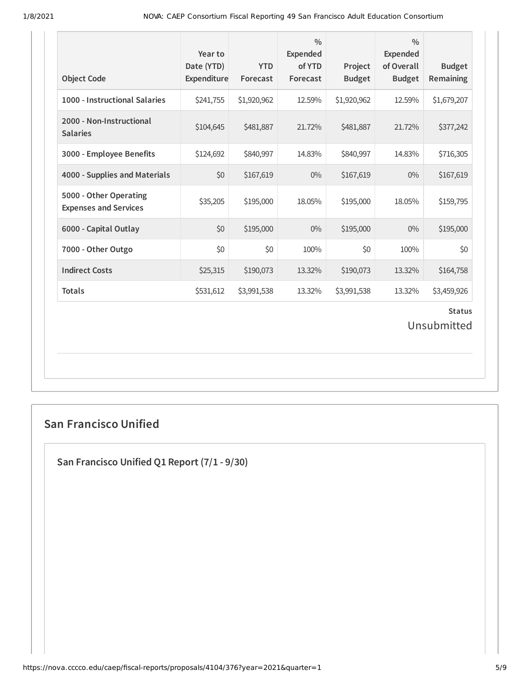| <b>Object Code</b>                                     | Year to<br>Date (YTD)<br>Expenditure | <b>YTD</b><br>Forecast | $\frac{0}{0}$<br>Expended<br>of YTD<br>Forecast | Project<br><b>Budget</b> | $\frac{0}{0}$<br><b>Expended</b><br>of Overall<br><b>Budget</b> | <b>Budget</b><br>Remaining |  |
|--------------------------------------------------------|--------------------------------------|------------------------|-------------------------------------------------|--------------------------|-----------------------------------------------------------------|----------------------------|--|
| 1000 - Instructional Salaries                          | \$241,755                            | \$1,920,962            | 12.59%                                          | \$1,920,962              | 12.59%                                                          | \$1,679,207                |  |
| 2000 - Non-Instructional<br><b>Salaries</b>            | \$104,645                            | \$481,887              | 21.72%                                          | \$481,887                | 21.72%                                                          | \$377,242                  |  |
| 3000 - Employee Benefits                               | \$124,692                            | \$840,997              | 14.83%                                          | \$840,997                | 14.83%                                                          | \$716,305                  |  |
| 4000 - Supplies and Materials                          | \$0                                  | \$167,619              | $0\%$                                           | \$167,619                | $0\%$                                                           | \$167,619                  |  |
| 5000 - Other Operating<br><b>Expenses and Services</b> | \$35,205                             | \$195,000              | 18.05%                                          | \$195,000                | 18.05%                                                          | \$159,795                  |  |
| 6000 - Capital Outlay                                  | \$0                                  | \$195,000              | $0\%$                                           | \$195,000                | $0\%$                                                           | \$195,000                  |  |
| 7000 - Other Outgo                                     | \$0                                  | \$0                    | 100%                                            | \$0                      | 100%                                                            | \$0                        |  |
| <b>Indirect Costs</b>                                  | \$25,315                             | \$190,073              | 13.32%                                          | \$190,073                | 13.32%                                                          | \$164,758                  |  |
| <b>Totals</b>                                          | \$531,612                            | \$3,991,538            | 13.32%                                          | \$3,991,538              | 13.32%                                                          | \$3,459,926                |  |
| <b>Status</b><br>Unsubmitted                           |                                      |                        |                                                 |                          |                                                                 |                            |  |

### **San Francisco Unified**

**San Francisco Unified Q1 Report (7/1 - 9/30)**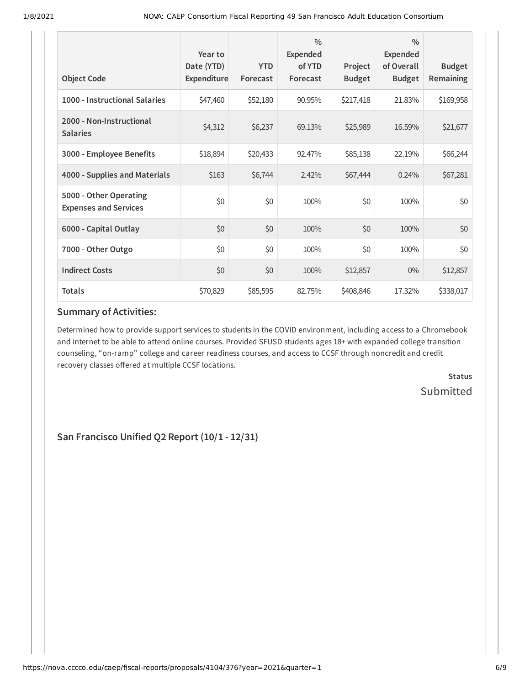| <b>Object Code</b>                                     | Year to<br>Date (YTD)<br>Expenditure | <b>YTD</b><br>Forecast | $\frac{0}{0}$<br>Expended<br>of YTD<br>Forecast | Project<br><b>Budget</b> | $\frac{0}{0}$<br>Expended<br>of Overall<br><b>Budget</b> | <b>Budget</b><br><b>Remaining</b> |
|--------------------------------------------------------|--------------------------------------|------------------------|-------------------------------------------------|--------------------------|----------------------------------------------------------|-----------------------------------|
| 1000 - Instructional Salaries                          | \$47,460                             | \$52,180               | 90.95%                                          | \$217,418                | 21.83%                                                   | \$169,958                         |
| 2000 - Non-Instructional<br><b>Salaries</b>            | \$4,312                              | \$6,237                | 69.13%                                          | \$25,989                 | 16.59%                                                   | \$21,677                          |
| 3000 - Employee Benefits                               | \$18,894                             | \$20,433               | 92.47%                                          | \$85,138                 | 22.19%                                                   | \$66,244                          |
| 4000 - Supplies and Materials                          | \$163                                | \$6,744                | 2.42%                                           | \$67,444                 | 0.24%                                                    | \$67,281                          |
| 5000 - Other Operating<br><b>Expenses and Services</b> | \$0                                  | \$0                    | 100%                                            | \$0                      | 100%                                                     | \$0                               |
| 6000 - Capital Outlay                                  | \$0                                  | \$0                    | 100%                                            | \$0                      | 100%                                                     | \$0                               |
| 7000 - Other Outgo                                     | \$0                                  | \$0                    | 100%                                            | \$0                      | 100%                                                     | \$0                               |
| <b>Indirect Costs</b>                                  | \$0                                  | \$0                    | 100%                                            | \$12,857                 | $0\%$                                                    | \$12,857                          |
| <b>Totals</b>                                          | \$70,829                             | \$85,595               | 82.75%                                          | \$408,846                | 17.32%                                                   | \$338,017                         |

#### **Summary of Activities:**

Determined how to provide support services to students in the COVID environment, including access to a Chromebook and internet to be able to attend online courses. Provided SFUSD students ages 18+ with expanded college transition counseling, "on-ramp" college and career readiness courses, and access to CCSF through noncredit and credit recovery classes offered at multiple CCSF locations.

> **Status Submitted**

**San Francisco Unified Q2 Report (10/1 - 12/31)**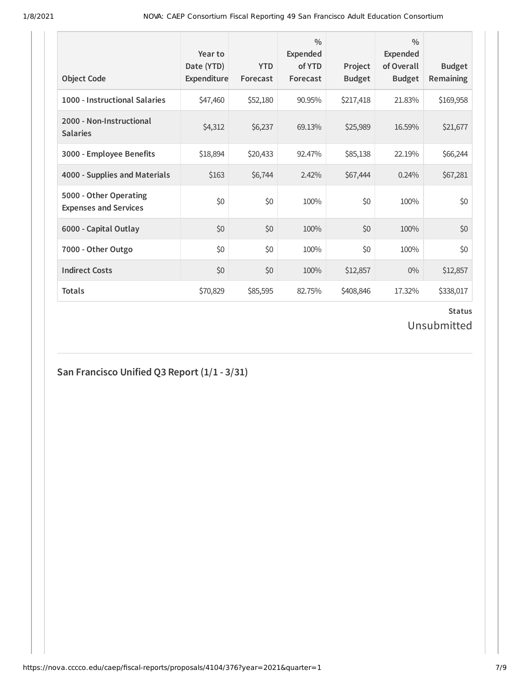| <b>Object Code</b>                                     | Year to<br>Date (YTD)<br>Expenditure | <b>YTD</b><br>Forecast | $\frac{0}{0}$<br>Expended<br>of YTD<br>Forecast | Project<br><b>Budget</b> | $\frac{0}{0}$<br>Expended<br>of Overall<br><b>Budget</b> | <b>Budget</b><br><b>Remaining</b> |
|--------------------------------------------------------|--------------------------------------|------------------------|-------------------------------------------------|--------------------------|----------------------------------------------------------|-----------------------------------|
| 1000 - Instructional Salaries                          | \$47,460                             | \$52,180               | 90.95%                                          | \$217,418                | 21.83%                                                   | \$169,958                         |
| 2000 - Non-Instructional<br><b>Salaries</b>            | \$4,312                              | \$6,237                | 69.13%                                          | \$25,989                 | 16.59%                                                   | \$21,677                          |
| 3000 - Employee Benefits                               | \$18,894                             | \$20,433               | 92.47%                                          | \$85,138                 | 22.19%                                                   | \$66,244                          |
| 4000 - Supplies and Materials                          | \$163                                | \$6,744                | 2.42%                                           | \$67,444                 | 0.24%                                                    | \$67,281                          |
| 5000 - Other Operating<br><b>Expenses and Services</b> | \$0                                  | \$0                    | 100%                                            | \$0                      | 100%                                                     | \$0                               |
| 6000 - Capital Outlay                                  | \$0                                  | \$0                    | 100%                                            | \$0                      | 100%                                                     | \$0                               |
| 7000 - Other Outgo                                     | \$0                                  | \$0                    | 100%                                            | \$0                      | 100%                                                     | \$0                               |
| <b>Indirect Costs</b>                                  | \$0                                  | \$0                    | 100%                                            | \$12,857                 | $0\%$                                                    | \$12,857                          |
| <b>Totals</b>                                          | \$70,829                             | \$85,595               | 82.75%                                          | \$408,846                | 17.32%                                                   | \$338,017                         |

Unsubmitted

# **San Francisco Unified Q3 Report (1/1 - 3/31)**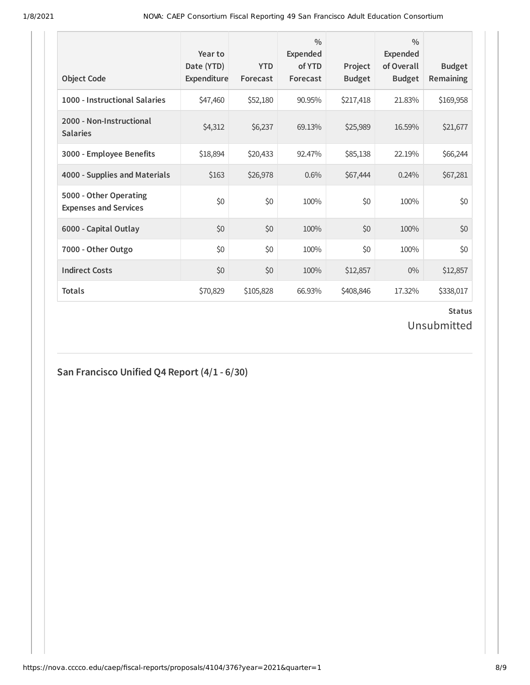| <b>Object Code</b>                                     | Year to<br>Date (YTD)<br>Expenditure | <b>YTD</b><br>Forecast | $\frac{0}{0}$<br>Expended<br>of YTD<br>Forecast | Project<br><b>Budget</b> | $\frac{0}{0}$<br><b>Expended</b><br>of Overall<br><b>Budget</b> | <b>Budget</b><br><b>Remaining</b> |
|--------------------------------------------------------|--------------------------------------|------------------------|-------------------------------------------------|--------------------------|-----------------------------------------------------------------|-----------------------------------|
| 1000 - Instructional Salaries                          | \$47,460                             | \$52,180               | 90.95%                                          | \$217,418                | 21.83%                                                          | \$169,958                         |
| 2000 - Non-Instructional<br><b>Salaries</b>            | \$4,312                              | \$6,237                | 69.13%                                          | \$25,989                 | 16.59%                                                          | \$21,677                          |
| 3000 - Employee Benefits                               | \$18,894                             | \$20,433               | 92.47%                                          | \$85,138                 | 22.19%                                                          | \$66,244                          |
| 4000 - Supplies and Materials                          | \$163                                | \$26,978               | 0.6%                                            | \$67,444                 | 0.24%                                                           | \$67,281                          |
| 5000 - Other Operating<br><b>Expenses and Services</b> | \$0                                  | \$0                    | 100%                                            | \$0                      | 100%                                                            | \$0                               |
| 6000 - Capital Outlay                                  | \$0                                  | \$0                    | 100%                                            | \$0                      | 100%                                                            | \$0                               |
| 7000 - Other Outgo                                     | \$0                                  | \$0                    | 100%                                            | \$0                      | 100%                                                            | \$0                               |
| <b>Indirect Costs</b>                                  | \$0                                  | \$0                    | 100%                                            | \$12,857                 | $0\%$                                                           | \$12,857                          |
| <b>Totals</b>                                          | \$70,829                             | \$105,828              | 66.93%                                          | \$408,846                | 17.32%                                                          | \$338,017                         |

Unsubmitted

# **San Francisco Unified Q4 Report (4/1 - 6/30)**